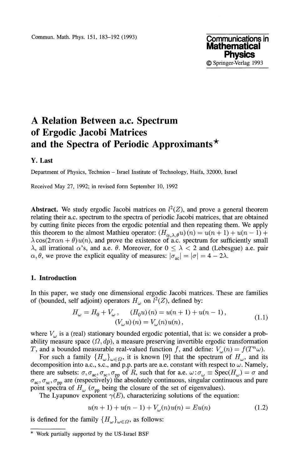# **A Relation Between a.c. Spectrum of Ergodic Jacobi Matrices and the Spectra of Periodic Approximants\***

#### **Y. Last**

Department of Physics, Technion - Israel Institute of Technology, Haifa, 32000, Israel

Received May 27, 1992; in revised form September 10, 1992

**Abstract.** We study ergodic Jacobi matrices on  $l^2(Z)$ , and prove a general theorem relating their a.c. spectrum to the spectra of periodic Jacobi matrices, that are obtained by cutting finite pieces from the ergodic potential and then repeating them. We apply this theorem to the almost Mathieu operator:  $(H_{\alpha,\lambda,\theta}u)(n) = u(n+1) + u(n-1) +$  $\lambda \cos(2\pi \alpha n + \theta) u(n)$ , and prove the existence of a.c. spectrum for sufficiently small λ, all irrational α's, and a.e. θ. Moreover, for  $0 \leq \lambda < 2$  and (Lebesgue) a.e. pair  $\sigma$ ,  $\theta$ , we prove the explicit equality of measures:  $|\sigma_{ac}| = |\sigma| = 4 - 2\lambda$ .

## **1. Introduction**

In this paper, we study one dimensional ergodic Jacobi matrices. These are families of (bounded, self adjoint) operators  $H_{\omega}$  on  $l^2(Z)$ , defined by:

$$
H_{\omega} = H_0 + V_{\omega}, \qquad (H_0 u)(n) = u(n+1) + u(n-1),
$$
  

$$
(V_{\omega} u)(n) = V_{\omega}(n) u(n), \qquad (1.1)
$$

where  $V_{\omega}$  is a (real) stationary bounded ergodic potential, that is: we consider a probability measure space  $(\Omega, dp)$ , a measure preserving invertible ergodic transformation T, and a bounded measurable real-valued function f, and define:  $V_{\omega}(n) = f(T^n \omega)$ .

For such a family  $\{H_{\omega}\}_{{\omega}\in\Omega}$ , it is known [9] that the spectrum of  $H_{\omega}$ , and its decomposition into a.c., s.c., and p.p. parts are a.e. constant with respect to  $\omega$ . Namely, there are subsets:  $\sigma, \sigma_{ac}, \sigma_{sc}, \sigma_{pp}$  of *R*, such that for a.e.  $\omega : \sigma_{\omega} \equiv \text{Spec}(H_{\omega}) = \sigma$  and  $_{ac}, \sigma_{sc}, \sigma_{pp}$  are (respectively) the absolutely continuous, singular continuous and pure point spectra of  $H_{\omega}$  ( $\sigma_{\text{pp}}$  being the closure of the set of eigenvalues).

The Lyapunov exponent  $\gamma(E)$ , characterizing solutions of the equation:

$$
u(n + 1) + u(n - 1) + V_{\omega}(n)u(n) = Eu(n)
$$
\n(1.2)

is defined for the family  ${H_\omega}_{\omega \in \Omega}$ , as follows:

Work partially supported by the US-Israel BSF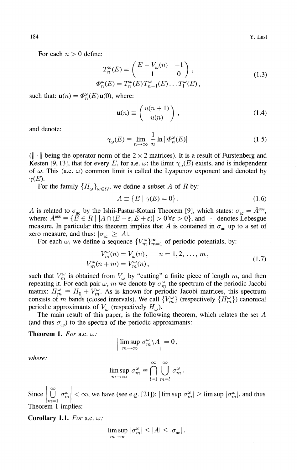For each  $n > 0$  define:

$$
T_n^{\omega}(E) = \begin{pmatrix} E - V_{\omega}(n) & -1 \\ 1 & 0 \end{pmatrix},
$$
  
\n
$$
\Phi_n^{\omega}(E) = T_n^{\omega}(E) T_{n-1}^{\omega}(E) \dots T_1^{\omega}(E),
$$
\n(1.3)

such that:  $\mathbf{u}(n) = \Phi_n^{\omega}(E) \mathbf{u}(0)$ , where:

$$
\mathbf{u}(n) \equiv \begin{pmatrix} u(n+1) \\ u(n) \end{pmatrix}, \qquad (1.4)
$$

and denote:

$$
\gamma_{\omega}(E) \equiv \lim_{n \to \infty} \frac{1}{n} \ln \|\Phi_n^{\omega}(E)\| \tag{1.5}
$$

 $(|| \cdot ||$  being the operator norm of the  $2 \times 2$  matrices). It is a result of Furstenberg and Kesten [9, 13], that for every *E*, for a.e.  $\omega$ : the limit  $\gamma_{\omega}(E)$  exists, and is independent of  $\omega$ . This (a.e.  $\omega$ ) common limit is called the Lyapunov exponent and denoted by  $\gamma(E)$ .

For the family  $\{H_{\omega}\}_{{\omega}\in\Omega}$ , we define a subset A of R by:

$$
A \equiv \{ E \mid \gamma(E) = 0 \} \,. \tag{1.6}
$$

A is related to  $\sigma_{ac}$  by the Ishii-Pastur-Kotani Theorem [9], which states:  $\sigma_{ac} = \bar{A}^{\text{ess}}$ , where:  $\bar{A}^{\text{ess}} \equiv \{ \bar{E} \in R \ | \ |A \cap (E - \varepsilon, E + \varepsilon)| > 0 \ \forall \varepsilon > 0 \},$  and  $| \cdot |$  denotes Lebesgue measure. In particular this theorem implies that A is contained in  $\sigma_{ac}$  up to a set of zero measure, and thus:  $|\sigma_{ac}| \geq |A|$ .

For each  $\omega$ , we define a sequence  ${V_m^{\omega}}_{m=1}^{\infty}$  of periodic potentials, by:

$$
V_{m}^{\omega}(n) = V_{\omega}(n), \qquad n = 1, 2, ..., m,
$$
  
\n
$$
V_{m}^{\omega}(n + m) = V_{m}^{\omega}(n),
$$
\n(1.7)

such that  $V_m^{\omega}$  is obtained from  $V_{\omega}$  by "cutting" a finite piece of length m, and then repeating it. For each pair  $\omega$ , m we denote by  $\sigma_m^{\omega}$  the spectrum of the periodic Jacobi matrix:  $H_m^{\omega} \equiv H_0 + V_m^{\omega}$ . As is known for periodic Jacobi matrices, this spectrum consists of *m* bands (closed intervals). We call  ${V_m^{\omega}}$  (respectively  ${H_m^{\omega}}$ ) canonical periodic approximants of  $V_{\omega}$  (respectively  $H_{\omega}$ ).

The main result of this paper, is the following theorem, which relates the set *A* (and thus  $\sigma_{ac}$ ) to the spectra of the periodic approximants:

**Theorem 1.** *For* a.e. *ω:*

$$
\left|\limsup_{m\to\infty}\sigma_m^{\omega}\backslash A\right|=0\,,
$$

*where:*

$$
\limsup_{m \to \infty} \sigma_m^{\omega} \equiv \bigcap_{l=1}^{\infty} \bigcup_{m=l}^{\infty} \sigma_m^{\omega}.
$$

Since  $\left|\bigcup_{m=1}^{\infty} \sigma_m^{\omega}\right| < \infty$ , we have (see e.g. [21]):  $|\limsup \sigma_m^{\omega}| \ge \limsup |\sigma_m^{\omega}|$ , and thus Theorem 1 implies:

**Corollary 1.1.** *For* **a.e.** *ω:*

$$
\limsup_{m\to\infty} \, |\sigma_m^\omega| \le |A| \le |\sigma_{\rm ac}|\,.
$$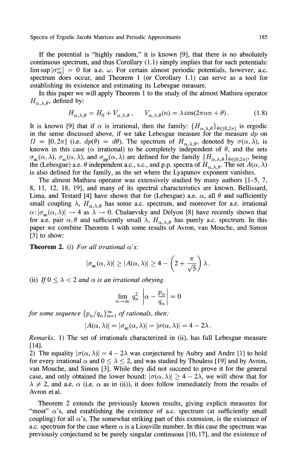If the potential is "highly random," it is known [9], that there is no absolutely continuous spectrum, and thus Corollary (1.1) simply implies that for such potentials: lim sup  $|\sigma_m^{\omega}| = 0$  for a.e.  $\omega$ . For certain almost periodic potentials, however, a.c. spectrum does occur, and Theorem 1 (or Corollary 1.1) can serve as a tool for establishing its existence and estimating its Lebesgue measure.

In this paper we will apply Theorem 1 to the study of the almost Mathieu operator  $H_{\alpha,\lambda,\theta}$ , defined by:

$$
H_{\alpha,\lambda,\theta} = H_0 + V_{\alpha,\lambda,\theta}, \qquad V_{\alpha,\lambda,\theta}(n) = \lambda \cos(2\pi\alpha n + \theta). \tag{1.8}
$$

It is known [9] that if  $\alpha$  is irrational, then the family:  $\{H_{\alpha,\lambda,\theta}\}_{\theta\in[0,2\pi]}$  is ergodic in the sense discussed above, if we take Lebesgue measure for the measure *dp* on  $\Omega = [0, 2\pi]$  (i.e.  $dp(\theta) = d\theta$ ). The spectrum of  $H_{\alpha, \lambda, \theta}$ , denoted by  $\sigma(\alpha, \lambda)$ , is known in this case ( $\alpha$  irrational) to be completely independent of  $\theta$ , and the sets  $_{\text{ac}}(\alpha, \lambda)$ ,  $\sigma_{\text{sc}}(\alpha, \lambda)$ , and  $\sigma_{\text{pp}}(\alpha, \lambda)$  are defined for the family  $\{H_{\alpha, \lambda, \theta}\}_{\theta \in [0, 2\pi]}$ , being the (Lebesgue) a.e.  $\theta$  independent a.c., s.c., and p.p. spectra of  $H_{\alpha,\lambda,\theta}$ . The set  $A(\alpha,\lambda)$ is also defined for the family, as the set where the Lyapunov exponent vanishes.

The almost Mathieu operator was extensively studied by many authors [1-5, 7, 8, 11, 12, 18, 19], and many of its spectral characteristics are known. Bellissard, Lima, and Testard [4] have shown that for (Lebesgue) a.e.  $\alpha$ , all  $\theta$  and sufficiently small coupling  $\lambda$ ,  $H_{\alpha,\lambda,\theta}$  has some a.c. spectrum, and moreover for a.e. irrational  $\alpha$ :  $|\sigma_{\text{ac}}(\alpha,\lambda)| \to 4$  as  $\lambda \to 0$ . Chulaevsky and Delyon [8] have recently shown that for a.e. pair  $\alpha$ ,  $\theta$  and sufficiently small  $\lambda$ ,  $H_{\alpha,\lambda,\theta}$  has purely a.c. spectrum. In this paper we combine Theorem 1 with some results of Avron, van Mouche, and Simon [3] to show:

**Theorem 2.** (i) For all irrational  $\alpha$ 's:

$$
|\sigma_{\rm ac}(\alpha,\lambda)| \ge |A(\alpha,\lambda)| \ge 4 - \left(2 + \frac{\pi}{\sqrt{5}}\right)\lambda.
$$

(ii) If  $0 \leq \lambda < 2$  and  $\alpha$  is an irrational obeying.

$$
\lim_{n \to \infty} q_n^2 \left| \alpha - \frac{p_n}{q_n} \right| = 0
$$

*for some sequence*  ${p_n/q_n}_{n=1}^{\infty}$  *of rationals, then:* 

$$
|A(\alpha,\lambda)| = |\sigma_{ac}(\alpha,\lambda)| = |\sigma(\alpha,\lambda)| = 4 - 2\lambda.
$$

*Remarks.* 1) The set of irrationals characterized in (ii), has full Lebesgue measure [14].

2) The equality  $|\sigma(\alpha, \lambda)| = 4 - 2\lambda$  was conjectured by Aubry and Andre [1] to hold for every irrational  $\alpha$  and  $0 \le \lambda \le 2$ , and was studied by Thouless [19] and by Avron, van Mouche, and Simon [3]. While they did not succeed to prove it for the general case, and only obtained the lower bound:  $|\sigma(\alpha, \lambda)| \geq 4 - 2\lambda$ , we will show that for  $\lambda \neq 2$ , and a.e.  $\alpha$  (i.e.  $\alpha$  as in (ii)), it does follow immediately from the results of Avron etal.

Theorem 2 extends the previously known results, giving explicit measures for "most"  $\alpha$ 's, and establishing the existence of a.c. spectrum (at sufficiently small coupling) for all  $\alpha$ 's. The somewhat striking part of this extension, is the existence of a.c. spectrum for the case where  $\alpha$  is a Liouville number. In this case the spectrum was previously conjectured to be purely singular continuous [10,17], and the existence of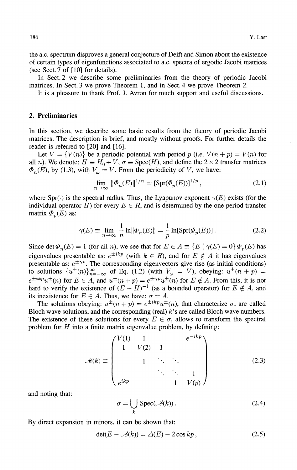the a.c. spectrum disproves a general conjecture of Deift and Simon about the existence of certain types of eigenfunctions associated to a.c. spectra of ergodic Jacobi matrices (see Sect. 7 of [10] for details).

In Sect. 2 we describe some preliminaries from the theory of periodic Jacobi matrices. In Sect. 3 we prove Theorem 1, and in Sect. 4 we prove Theorem 2.

It is a pleasure to thank Prof. J. Avron for much support and useful discussions.

#### **2. Preliminaries**

In this section, we describe some basic results from the theory of periodic Jacobi matrices. The description is brief, and mostly without proofs. For further details the reader is referred to [20] and [16].

Let  $V = \{V(n)\}\$ be a periodic potential with period p (i.e.  $V(n + p) = V(n)$  for all *n*). We denote:  $H \equiv H_0 + V$ ,  $\sigma \equiv \text{Spec}(H)$ , and define the 2  $\times$  2 transfer matrices  $n_{n}(E)$ , by (1.3), with  $V_{\omega} = V$ . From the periodicity of *V*, we have:

$$
\lim_{n \to \infty} \|\Phi_n(E)\|^{1/n} = [\text{Spr}(\Phi_p(E))]^{1/p},\tag{2.1}
$$

where Spr( $\cdot$ ) is the spectral radius. Thus, the Lyapunov exponent  $\gamma(E)$  exists (for the individual operator  $H$ ) for every  $E \in R$ , and is determined by the one period transfer matrix  $\Phi_p(E)$  as:

$$
\gamma(E) \equiv \lim_{n \to \infty} \frac{1}{n} \ln \|\Phi_n(E)\| = \frac{1}{p} \ln[\text{Spr}(\Phi_p(E))]. \tag{2.2}
$$

Since det  $\Phi_n(E) = 1$  (for all *n*), we see that for  $E \in A \equiv \{E \mid \gamma(E) = 0\} \Phi_p(E)$  has eigenvalues presentable as:  $e^{\pm ikp}$  (with  $k \in R$ ), and for  $E \notin A$  it has eigenvalues presentable as:  $e^{\pm \gamma p}$ . The corresponding eigenvectors give rise (as initial conditions) to solutions  $\{u^{\pm}(n)\}_{n=-\infty}^{\infty}$  of Eq. (1.2) (with  $V_{\omega} = V$ ), obeying:  $u^{\pm}(n + p) =$  $e^{\pm ikp}u^{\pm}(n)$  for  $E \in A$ , and  $u^{\pm}(n+p) = e^{\pm \gamma p}u^{\pm}(n)$  for  $E \notin A$ . From this, it is not hard to verify the existence of  $(E - H)^{-1}$  (as a bounded operator) for  $E \notin A$ , and its inexistence for  $E \in A$ . Thus, we have:  $\sigma = A$ .

The solutions obeying:  $u^{\pm} (n + p) = e^{\pm i k p} u^{\pm} (n)$ , that characterize  $\sigma$ , are called Bloch wave solutions, and the corresponding (real)  $k$ 's are called Bloch wave numbers. The existence of these solutions for every  $E \in \sigma$ , allows to transform the spectral problem for *H* into a finite matrix eigenvalue problem, by defining:

$$
\mathcal{A}(k) \equiv \begin{pmatrix} V(1) & 1 & & & e^{-ikp} \\ 1 & V(2) & 1 & & \\ & 1 & \ddots & \ddots & \\ & & \ddots & \ddots & 1 \\ e^{ikp} & & & 1 & V(p) \end{pmatrix}
$$
(2.3)

and noting that:

$$
\sigma = \bigcup_{k} \text{Spec}(\mathcal{A}(k)).
$$
 (2.4)

By direct expansion in minors, it can be shown that:

$$
\det(E - \mathcal{A}(k)) = \Delta(E) - 2\cos kp \,,\tag{2.5}
$$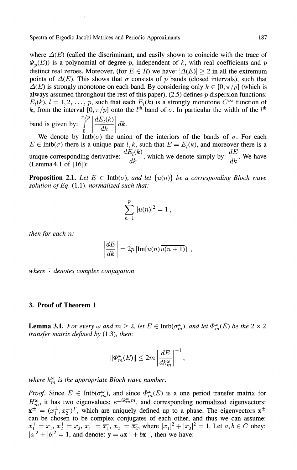where  $\Delta(E)$  (called the discriminant, and easily shown to coincide with the trace of  $p_p(E)$ ) is a polynomial of degree p, independent of k, with real coefficients and p distinct real zeroes. Moreover, (for  $E \in R$ ) we have:  $|\Delta(E)| \ge 2$  in all the extremum points of  $\Delta(E)$ . This shows that  $\sigma$  consists of p bands (closed intervals), such that  $\Delta(E)$  is strongly monotone on each band. By considering only  $k \in [0, \pi/p]$  (which is always assumed throughout the rest of this paper), (2.5) defines *p* dispersion functions:  $E_l(k)$ ,  $l = 1, 2, \ldots, p$ , such that each  $E_l(k)$  is a strongly monotone  $C^{\infty}$  function of *k*, from the interval  $[0, \pi/p]$  onto the *l*<sup>th</sup> band of  $\sigma$ . In particular the width of the *l*<sup>th</sup> *π/p* band is given by: *J*  $dE_l(k)$  $\frac{d}{dk}$   $\left| \frac{dk}{dk} \right|$ .

o We denote by Intb( $\sigma$ ) the union of the interiors of the bands of  $\sigma$ . For each  $E \in Intb(\sigma)$  there is a unique pair l, k, such that  $E = E<sub>l</sub>(k)$ , and moreover there is a  $dE_l(k)$  which we denote simply by  $dE$ unique corresponding derivative:  $\frac{-d}{dk}$ , which we denote simply by:  $\frac{-}{dk}$ . We have (Lemma4.1 of [16]):

**Proposition 2.1.** Let  $E \in \text{Intb}(\sigma)$ *, and let*  $\{u(n)\}$  be a corresponding Bloch wave *solution ofEq.* (1.1). *normalized such that:*

$$
\sum_{n=1}^p |u(n)|^2 = 1,
$$

*then for each n:*

$$
\left. \frac{dE}{dk} \right| = 2p \left| \text{Im}[u(n)\overline{u(n+1)}] \right|,
$$

*where*  $\bar{\cdot}$  *denotes complex conjugation.* 

## **3. Proof of Theorem 1**

**Lemma 3.1.** *For every*  $\omega$  and  $m \geq 2$ , let  $E \in \text{Intb}(\sigma_m^{\omega})$ , and let  $\Phi_m^{\omega}(E)$  be the  $2 \times 2$ *transfer matrix defined by* (1.3), *then:*

$$
\|\Phi_m^{\omega}(E)\| \le 2m \left| \frac{dE}{dk_m^{\omega}} \right|^{-1},
$$

*where*  $k_m^{\omega}$  *is the appropriate Bloch wave number.* 

*Proof.* Since  $E \in \text{Intb}(\sigma_m^{\omega})$ , and since  $\Phi_m^{\omega}(E)$  is a one period transfer matrix for  $H^{\omega}_m$ , it has two eigenvalues:  $e^{\pm ik^{\omega}_m m}$ , and corresponding normalized eigenvectors:  $x^{\pm} = (x_1^{\pm}, x_2^{\pm})^T$ , which are uniquely defined up to a phase. The eigenvectors  $x^{\pm}$ can be chosen to be complex conjugates of each other, and thus we can assume:  $x_1^{\top} = x_1$  $|a|^2 +$  $x_2^+ =$  $|^{2} =$  $=\overline{x_1}, \ x_2^- = \overline{x_2}, \text{ where } |x_1|^2 + |x_2|^2 = 1. \text{ Let } a, b \in C \text{ obey:}$  $= 1$ , and denote:  $y = ax^{+} + bx^{-}$ , then we have: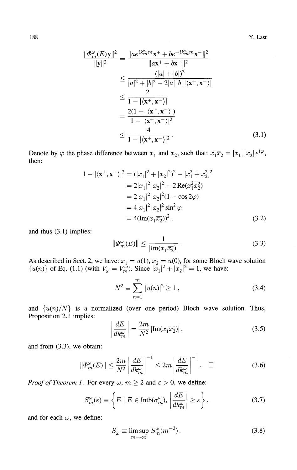$$
\frac{\|\Phi_m^{\omega}(E)\mathbf{y}\|^2}{\|\mathbf{y}\|^2} = \frac{\|ae^{ik_m^{\omega}m}\mathbf{x}^+ + be^{-ik_m^{\omega}m}\mathbf{x}^- \|^2}{\|a\mathbf{x}^+ + b\mathbf{x}^-\|^2}
$$
  
\n
$$
\leq \frac{(|a| + |b|)^2}{|a|^2 + |b|^2 - 2|a||b||\langle\mathbf{x}^+, \mathbf{x}^- \rangle|}
$$
  
\n
$$
\leq \frac{2}{1 - |\langle\mathbf{x}^+, \mathbf{x}^- \rangle|}
$$
  
\n
$$
= \frac{2(1 + |\langle\mathbf{x}^+, \mathbf{x}^- \rangle|)}{1 - |\langle\mathbf{x}^+, \mathbf{x}^- \rangle|^2}
$$
  
\n
$$
\leq \frac{4}{1 - |\langle\mathbf{x}^+, \mathbf{x}^- \rangle|^2}.
$$
 (3.1)

Denote by  $\varphi$  the phase difference between  $x_1$  and  $x_2$ , such that:  $x_1 \overline{x_2} = |x_1| |x_2| e^{i\varphi}$ , then:

$$
1 - |\langle \mathbf{x}^+, \mathbf{x}^- \rangle|^2 = (|x_1|^2 + |x_2|^2)^2 - |x_1^2 + x_2^2|^2
$$
  
=  $2|x_1|^2 |x_2|^2 - 2 \operatorname{Re}(x_1^2 x_2^2)$   
=  $2|x_1|^2 |x_2|^2 (1 - \cos 2\varphi)$   
=  $4|x_1|^2 |x_2|^2 \sin^2 \varphi$   
=  $4(\operatorname{Im}(x_1 \overline{x_2}))^2$ , (3.2)

and thus (3.1) implies:

$$
\|\Phi_m^{\omega}(E)\| \le \frac{1}{|\text{Im}(x_1\overline{x_2})|}.
$$
\n(3.3)

As described in Sect. 2, we have:  $x_1 = u(1), x_2 = u(0)$ , for some Bloch wave solution  $\{u(n)\}\$  of Eq. (1.1) (with  $V_{\omega} = V_m^{\hat{\omega}}$ ). Since  $|\bar{x}_1|^2 + |x_2|^2 = 1$ , we have:

$$
N^2 \equiv \sum_{n=1}^{m} |u(n)|^2 \ge 1,
$$
\n(3.4)

and  $\{u(n)/N\}$  is a normalized (over one period) Bloch wave solution. Thus, Proposition 2.1 implies:

$$
\left| \frac{dE}{dk_m^{\omega}} \right| = \frac{2m}{N^2} \left| \text{Im}(x_1 \overline{x_2}) \right|, \tag{3.5}
$$

and from (3.3), we obtain:

$$
\|\Phi_m^{\omega}(E)\| \le \frac{2m}{N^2} \left| \frac{dE}{dk_m^{\omega}} \right|^{-1} \le 2m \left| \frac{dE}{dk_m^{\omega}} \right|^{-1} . \quad \Box \tag{3.6}
$$

*Proof of Theorem 1.* For every  $\omega$ ,  $m \ge 2$  and  $\varepsilon > 0$ , we define:

$$
S_{m}^{\omega}(\varepsilon) \equiv \left\{ E \mid E \in \text{Intb}(\sigma_{m}^{\omega}), \left| \frac{dE}{dk_{m}^{\omega}} \right| \ge \varepsilon \right\},\tag{3.7}
$$

and for each  $\omega$ , we define:

$$
S_{\omega} \equiv \limsup_{m \to \infty} S_m^{\omega} (m^{-2}). \tag{3.8}
$$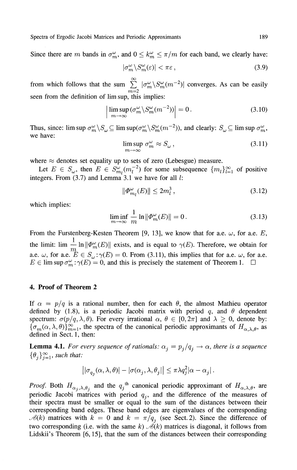Since there are m bands in  $\sigma_m^{\omega}$ , and  $0 \leq k_m^{\omega} \leq \pi/m$  for each band, we clearly have:

$$
|\sigma_m^{\omega} \backslash S_m^{\omega}(\varepsilon)| < \pi \varepsilon \,, \tag{3.9}
$$

from which follows that the sum  $\sum |\sigma_m^{\omega}(S_m^{\omega}(m^{-2})|)$  converges. As can be easily *m=2* seen from the definition of lim sup, this implies:

$$
\left| \limsup_{m \to \infty} (\sigma_m^{\omega} \setminus S_m^{\omega}(m^{-2})) \right| = 0. \tag{3.10}
$$

Thus, since:  $\limsup \sigma_m^{\omega} \setminus S_{\omega} \subseteq \limsup (\sigma_m^{\omega} \setminus S_m^{\omega}(m^{-2}))$ , and clearly:  $S_{\omega} \subseteq \limsup \sigma_m^{\omega}$ , we have:

$$
\limsup_{m \to \infty} \sigma_m^{\omega} \approx S_{\omega},\tag{3.11}
$$

where  $\approx$  denotes set equality up to sets of zero (Lebesgue) measure.

Let  $E \in S_\omega$ , then  $E \in S^\omega_{m} (m_l^{-2})$  for some subsequence  $\{m_l\}_{l=1}^\infty$  of positive integers. From (3.7) and Lemma 3.1 we have for all *I:*

$$
\|\Phi_{m_l}^{\omega}(E)\| \le 2m_l^3\,,\tag{3.12}
$$

which implies:

$$
\liminf_{m \to \infty} \frac{1}{m} \ln \|\Phi_m^{\omega}(E)\| = 0. \tag{3.13}
$$

From the Furstenberg-Kesten Theorem [9, 13], we know that for a.e. *ω,* for a.e. *E,* the limit: lim  $-\ln \|\Phi_m^{\omega}(E)\|$  exists, and is equal to  $\gamma(E)$ . Therefore, we obtain for a.e.  $\omega$ , for a.e.  $E \in S_{\omega}$ : $\gamma(E) = 0$ . From (3.11), this implies that for a.e.  $\omega$ , for a.e.  $E \in \limsup \sigma_m^{\omega}$ :  $\gamma(E) = 0$ , and this is precisely the statement of Theorem 1.  $\square$ 

# **4. Proof of Theorem 2**

If  $\alpha = p/q$  is a rational number, then for each  $\theta$ , the almost Mathieu operator defined by (1.8), is a periodic Jacobi matrix with period *q,* and *θ* dependent spectrum:  $\sigma(p/q, \lambda, \theta)$ . For every irrational  $\alpha$ ,  $\theta \in [0, 2\pi]$  and  $\lambda \geq 0$ , denote by:  ${\{\sigma_m(\alpha,\lambda,\theta)\}}_{m=1}^{\infty}$ , the spectra of the canonical periodic approximants of  $H_{\alpha,\lambda,\theta}$ , as defined in Sect. 1, then:

**Lemma 4.1.** For every sequence of rationals:  $\alpha_j = p_j/q_j \rightarrow \alpha$ , there is a sequence  $\{\theta_j\}_{j=1}^{\infty}$ , such that:

$$
\left||\sigma_{q_j}(\alpha,\lambda,\theta)| - |\sigma(\alpha_j,\lambda,\theta_j|\right| \leq \pi \lambda q_j^2 |\alpha-\alpha_j|\,.
$$

*Proof.* Both  $H_{\alpha_j, \lambda, \theta_j}$  and the  $q_j$ <sup>th</sup> canonical periodic approximant of  $H_{\alpha, \lambda, \theta}$ , are periodic Jacobi matrices with period  $q_j$ , and the difference of the measures of their spectra must be smaller or equal to the sum of the distances between their corresponding band edges. These band edges are eigenvalues of the corresponding *Λ*(*k*) matrices with  $k = 0$  and  $k = \pi/q$ <sub>*j*</sub> (see Sect. 2). Since the difference of two corresponding (i.e. with the same  $k$ )  $\mathcal{A}(k)$  matrices is diagonal, it follows from Lidskii's Theorem [6,15], that the sum of the distances between their corresponding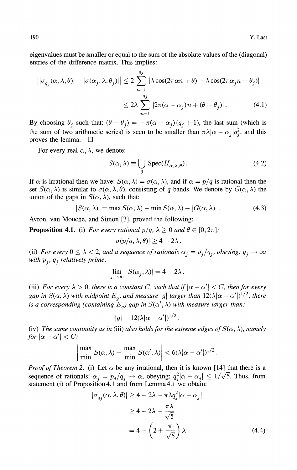eigenvalues must be smaller or equal to the sum of the absolute values of the (diagonal) entries of the difference matrix. This implies:

$$
\left| |\sigma_{q_j}(\alpha, \lambda, \theta)| - |\sigma(\alpha_j, \lambda, \theta_j)| \right| \le 2 \sum_{n=1}^{q_j} |\lambda \cos(2\pi \alpha n + \theta) - \lambda \cos(2\pi \alpha_j n + \theta_j)|
$$
  

$$
\le 2\lambda \sum_{n=1}^{q_j} |2\pi(\alpha - \alpha_j)n + (\theta - \theta_j)|. \tag{4.1}
$$

By choosing  $\theta_j$  such that:  $(\theta - \theta_j) = -\pi(\alpha - \alpha_j)(q_j + 1)$ , the last sum (which is the sum of two arithmetic series) is seen to be smaller than  $\pi \lambda | \alpha - \alpha_i | q_i^2$ , and this proves the lemma.  $\square$ 

For every real  $\alpha$ ,  $\lambda$ , we denote:

$$
S(\alpha, \lambda) \equiv \bigcup_{\theta} \text{Spec}(H_{\alpha, \lambda, \theta}).
$$
 (4.2)

If  $\alpha$  is irrational then we have:  $S(\alpha, \lambda) = \sigma(\alpha, \lambda)$ , and if  $\alpha = p/q$  is rational then the set  $S(\alpha, \lambda)$  is similar to  $\sigma(\alpha, \lambda, \theta)$ , consisting of q bands. We denote by  $G(\alpha, \lambda)$  the union of the gaps in  $S(\alpha, \lambda)$ , such that:

$$
|S(\alpha,\lambda)| = \max S(\alpha,\lambda) - \min S(\alpha,\lambda) - |G(\alpha,\lambda)|.
$$
 (4.3)

Avron, van Mouche, and Simon [3], proved the following:

**Proposition 4.1.** (i) *For every rational*  $p/q$ *,*  $\lambda \ge 0$  *and*  $\theta \in [0, 2\pi]$ *:* 

$$
|\sigma(p/q,\lambda,\theta)| \geq 4-2\lambda.
$$

(ii) For every  $0 \leq \lambda < 2$ , and a sequence of rationals  $\alpha_j = p_j/q_j$ , obeying:  $q_j \to \infty$ *ihpj, qj relatively prime:*

$$
\lim_{j \to \infty} |S(\alpha_j, \lambda)| = 4 - 2\lambda.
$$

(iii) For every  $\lambda > 0$ , there is a constant C, such that if  $|\alpha - \alpha'| < C$ , then for every gap in  $S(\alpha, \lambda)$  with midpoint  $E_g$ , and measure  $|g|$  larger than  $12(\lambda | \alpha - \alpha'|)^{1/2}$ , there *is a corresponding (containing*  $E_g$ *) gap in*  $S(\alpha', \lambda)$  *with measure larger than:* 

$$
|g|-12(\lambda|\alpha-\alpha'|)^{1/2}.
$$

(iv) The same continuity as in (iii) also holds for the extreme edges of  $S(\alpha, \lambda)$ , namely *for*  $|\alpha - \alpha'| < C$ :

$$
\left|\frac{\max}{\min} S(\alpha,\lambda) - \frac{\max}{\min} S(\alpha',\lambda)\right| < 6(\lambda|\alpha - \alpha'|)^{1/2}.
$$

*Proof of Theorem 2.* (i) Let  $\alpha$  be any irrational, then it is known [14] that there is a sequence of rationals:  $\alpha_i = p_i/q_i \rightarrow \alpha$ , obeying:  $q_i^2|\alpha - \alpha_i| \leq 1/\sqrt{5}$ . Thus, from statement (i) of Proposition 4.1 and from Lemma 4.1 we obtain:

$$
|\sigma_{q_j}(\alpha, \lambda, \theta)| \ge 4 - 2\lambda - \pi \lambda q_j^2 |\alpha - \alpha_j|
$$
  
\n
$$
\ge 4 - 2\lambda - \frac{\pi \lambda}{\sqrt{5}}
$$
  
\n
$$
= 4 - \left(2 + \frac{\pi}{\sqrt{5}}\right) \lambda.
$$
 (4.4)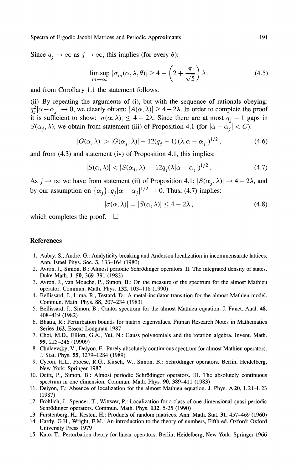Since  $q_j \rightarrow \infty$  as  $j \rightarrow \infty$ , this implies (for every  $\theta$ ):

$$
\limsup_{m \to \infty} |\sigma_m(\alpha, \lambda, \theta)| \ge 4 - \left(2 + \frac{\pi}{\sqrt{5}}\right)\lambda,
$$
\n(4.5)

and from Corollary 1.1 the statement follows.

(ii) By repeating the arguments of (i), but with the sequence of rationals obeying:  $q_j^2 | \alpha - \alpha_j | \to 0$ , we clearly obtain:  $|A(\alpha, \lambda)| \ge 4 - 2\lambda$ . In order to complete the proof it is sufficient to show:  $|\sigma(\alpha, \lambda)| \leq 4 - 2\lambda$ . Since there are at most  $q_j - 1$  gaps in *S*( $\alpha_j$ ,  $\lambda$ ), we obtain from statement (iii) of Proposition 4.1 (for  $|\alpha - \alpha_j| < C$ ):

$$
|G(\alpha,\lambda)| > |G(\alpha_j,\lambda)| - 12(q_j - 1)(\lambda|\alpha - \alpha_j|)^{1/2}, \qquad (4.6)
$$

and from (4.3) and statement (iv) of Proposition 4.1, this implies:

$$
|S(\alpha,\lambda)| < |S(\alpha_j,\lambda)| + 12q_j(\lambda|\alpha - \alpha_j|)^{1/2}.
$$
 (4.7)

As  $j \to \infty$  we have from statement (ii) of Proposition 4.1:  $|S(\alpha_j, \lambda)| \to 4 - 2\lambda$ , and by our assumption on  $\{\alpha_j\}$ :  $q_j | \alpha - \alpha_j |^{1/2} \to 0$ . Thus, (4.7) implies:

$$
|\sigma(\alpha,\lambda)| = |S(\alpha,\lambda)| \le 4 - 2\lambda, \qquad (4.8)
$$

which completes the proof.  $\square$ 

#### **References**

- 1. Aubry, S., Andre, G.: Analyticity breaking and Anderson localization in incommensurate lattices. Ann. Israel Phys. Soc. 3, 133-164 (1980)
- 2. Avron, J., Simon, B.: Almost periodic Schrodinger operators. II. The integrated density of states. Duke Math. J. 50, 369-391 (1983)
- 3. Avron, J., van Mouche, P., Simon, B.: On the measure of the spectrum for the almost Mathieu operator. Commun. Math. Phys. **132,** 103-118 (1990)
- 4. Bellissard, J., Lima, R., Testard, D.: A metal-insulator transition for the almost Mathieu model. Commun. Math. Phys. 88, 207-234 (1983)
- 5. Bellissard, J., Simon, B.: Cantor spectrum for the almost Mathieu equation. J. Funct. Anal. 48, 408-419 (1982)
- 6. Bhatia, R.: Perturbation bounds for matrix eigenvalues. Pitman Research Notes in Mathematics Series **162,** Essex: Longman 1987
- 7. Choi, M.D., Elliott, G.A., Yui, N.: Gauss polynomials and the rotation algebra. Invent. Math. 99, 225-246 (19909)
- 8. Chulaevsky, V., Delyon, R: Purely absolutely continuous spectrum for almost Mathieu operators. J. Stat. Phys. 55, 1279-1284 (1989)
- 9. Cycon, H.L., Froese, R.G., Kirsch, W., Simon, B.: Schrodinger operators. Berlin, Heidelberg, New York: Springer 1987
- 10. Deift, P., Simon, B.: Almost periodic Schrodinger operators. III. The absolutely continuous spectrum in one dimension. Commun. Math. Phys. 90, 389-411 (1983)
- 11. Delyon, F.: Absence of localization for the almost Mathieu equation. J. Phys. A 20, L21-L23 (1987)
- 12. Frδhlich, J., Spencer, T., Wittwer, P.: Localization for a class of one dimensional quasi-periodic Schrodinger operators. Commun. Math. Phys. **132,** 5-25 (1990)
- 13. Furstenberg, H., Kesten, H.: Products of random matrices. Ann. Math. Stat. **31,** 457-469 (1960)
- 14. Hardy, G.H., Wright, E.M.: An introduction to the theory of numbers, Fifth ed. Oxford: Oxford University Press 1979
- 15. Kato, T.: Perturbation theory for linear operators. Berlin, Heidelberg, New York: Springer 1966